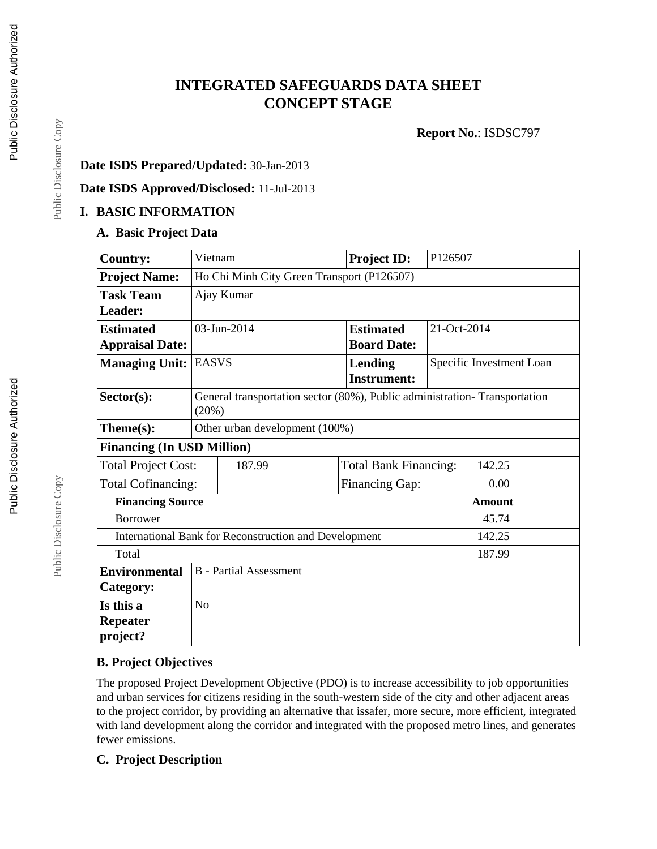# **INTEGRATED SAFEGUARDS DATA SHEET CONCEPT STAGE**

**Report No.**: ISDSC797

### **Date ISDS Prepared/Updated:** 30-Jan-2013

**Date ISDS Approved/Disclosed:** 11-Jul-2013

### **I. BASIC INFORMATION**

#### **A. Basic Project Data**

| <b>Country:</b>                   | Vietnam                                                                            |                               | <b>Project ID:</b>                   | P126507 |                          |  |
|-----------------------------------|------------------------------------------------------------------------------------|-------------------------------|--------------------------------------|---------|--------------------------|--|
| <b>Project Name:</b>              | Ho Chi Minh City Green Transport (P126507)                                         |                               |                                      |         |                          |  |
| <b>Task Team</b>                  |                                                                                    | Ajay Kumar                    |                                      |         |                          |  |
| Leader:                           |                                                                                    |                               |                                      |         |                          |  |
| <b>Estimated</b>                  |                                                                                    | 03-Jun-2014                   | <b>Estimated</b>                     |         | 21-Oct-2014              |  |
| <b>Appraisal Date:</b>            |                                                                                    |                               | <b>Board Date:</b>                   |         |                          |  |
| <b>Managing Unit:</b>             | <b>EASVS</b>                                                                       |                               | <b>Lending</b><br><b>Instrument:</b> |         | Specific Investment Loan |  |
| Sector(s):                        | General transportation sector (80%), Public administration-Transportation<br>(20%) |                               |                                      |         |                          |  |
| Theme(s):                         | Other urban development (100%)                                                     |                               |                                      |         |                          |  |
| <b>Financing (In USD Million)</b> |                                                                                    |                               |                                      |         |                          |  |
| <b>Total Project Cost:</b>        |                                                                                    | 187.99                        | <b>Total Bank Financing:</b>         |         | 142.25                   |  |
| Total Cofinancing:                |                                                                                    |                               | <b>Financing Gap:</b>                |         | 0.00                     |  |
| <b>Financing Source</b>           | <b>Amount</b>                                                                      |                               |                                      |         |                          |  |
| <b>Borrower</b>                   | 45.74                                                                              |                               |                                      |         |                          |  |
|                                   | International Bank for Reconstruction and Development<br>142.25                    |                               |                                      |         |                          |  |
| Total                             |                                                                                    |                               |                                      | 187.99  |                          |  |
| <b>Environmental</b>              |                                                                                    | <b>B</b> - Partial Assessment |                                      |         |                          |  |
| Category:                         |                                                                                    |                               |                                      |         |                          |  |
| Is this a                         | N <sub>o</sub>                                                                     |                               |                                      |         |                          |  |
| <b>Repeater</b><br>project?       |                                                                                    |                               |                                      |         |                          |  |

#### **B. Project Objectives**

The proposed Project Development Objective (PDO) is to increase accessibility to job opportunities and urban services for citizens residing in the south-western side of the city and other adjacent areas to the project corridor, by providing an alternative that issafer, more secure, more efficient, integrated with land development along the corridor and integrated with the proposed metro lines, and generates fewer emissions.

#### **C. Project Description**

Public Disclosure Copy

Public Disclosure Copy

Public Disclosure Copy

Public Disclosure Copy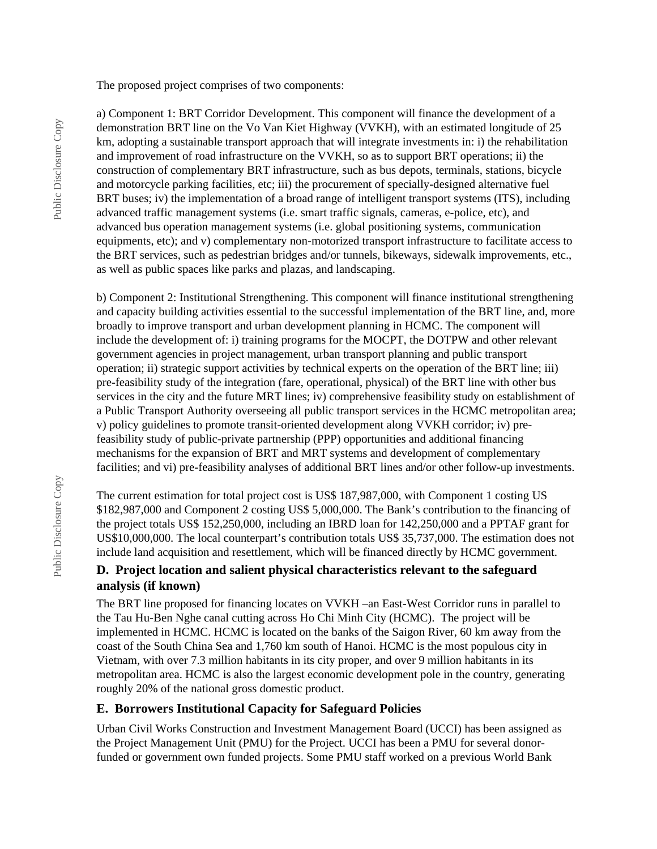The proposed project comprises of two components:

a) Component 1: BRT Corridor Development. This component will finance the development of a demonstration BRT line on the Vo Van Kiet Highway (VVKH), with an estimated longitude of 25 km, adopting a sustainable transport approach that will integrate investments in: i) the rehabilitation and improvement of road infrastructure on the VVKH, so as to support BRT operations; ii) the construction of complementary BRT infrastructure, such as bus depots, terminals, stations, bicycle and motorcycle parking facilities, etc; iii) the procurement of specially-designed alternative fuel BRT buses; iv) the implementation of a broad range of intelligent transport systems (ITS), including advanced traffic management systems (i.e. smart traffic signals, cameras, e-police, etc), and advanced bus operation management systems (i.e. global positioning systems, communication equipments, etc); and v) complementary non-motorized transport infrastructure to facilitate access to the BRT services, such as pedestrian bridges and/or tunnels, bikeways, sidewalk improvements, etc., as well as public spaces like parks and plazas, and landscaping.

b) Component 2: Institutional Strengthening. This component will finance institutional strengthening and capacity building activities essential to the successful implementation of the BRT line, and, more broadly to improve transport and urban development planning in HCMC. The component will include the development of: i) training programs for the MOCPT, the DOTPW and other relevant government agencies in project management, urban transport planning and public transport operation; ii) strategic support activities by technical experts on the operation of the BRT line; iii) pre-feasibility study of the integration (fare, operational, physical) of the BRT line with other bus services in the city and the future MRT lines; iv) comprehensive feasibility study on establishment of a Public Transport Authority overseeing all public transport services in the HCMC metropolitan area; v) policy guidelines to promote transit-oriented development along VVKH corridor; iv) prefeasibility study of public-private partnership (PPP) opportunities and additional financing mechanisms for the expansion of BRT and MRT systems and development of complementary facilities; and vi) pre-feasibility analyses of additional BRT lines and/or other follow-up investments.

The current estimation for total project cost is US\$ 187,987,000, with Component 1 costing US \$182,987,000 and Component 2 costing US\$ 5,000,000. The Bank's contribution to the financing of the project totals US\$ 152,250,000, including an IBRD loan for 142,250,000 and a PPTAF grant for US\$10,000,000. The local counterpart's contribution totals US\$ 35,737,000. The estimation does not include land acquisition and resettlement, which will be financed directly by HCMC government.

### **D. Project location and salient physical characteristics relevant to the safeguard analysis (if known)**

The BRT line proposed for financing locates on VVKH –an East-West Corridor runs in parallel to the Tau Hu-Ben Nghe canal cutting across Ho Chi Minh City (HCMC). The project will be implemented in HCMC. HCMC is located on the banks of the Saigon River, 60 km away from the coast of the South China Sea and 1,760 km south of Hanoi. HCMC is the most populous city in Vietnam, with over 7.3 million habitants in its city proper, and over 9 million habitants in its metropolitan area. HCMC is also the largest economic development pole in the country, generating roughly 20% of the national gross domestic product.

#### **E. Borrowers Institutional Capacity for Safeguard Policies**

Urban Civil Works Construction and Investment Management Board (UCCI) has been assigned as the Project Management Unit (PMU) for the Project. UCCI has been a PMU for several donorfunded or government own funded projects. Some PMU staff worked on a previous World Bank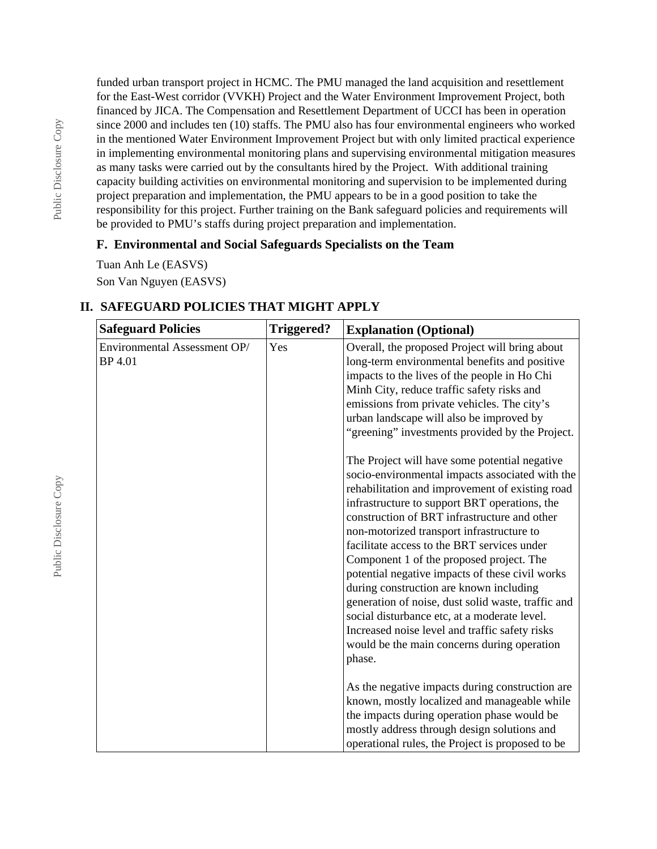funded urban transport project in HCMC. The PMU managed the land acquisition and resettlement for the East-West corridor (VVKH) Project and the Water Environment Improvement Project, both financed by JICA. The Compensation and Resettlement Department of UCCI has been in operation since 2000 and includes ten (10) staffs. The PMU also has four environmental engineers who worked in the mentioned Water Environment Improvement Project but with only limited practical experience in implementing environmental monitoring plans and supervising environmental mitigation measures as many tasks were carried out by the consultants hired by the Project. With additional training capacity building activities on environmental monitoring and supervision to be implemented during project preparation and implementation, the PMU appears to be in a good position to take the responsibility for this project. Further training on the Bank safeguard policies and requirements will be provided to PMU's staffs during project preparation and implementation.

### **F. Environmental and Social Safeguards Specialists on the Team**

Tuan Anh Le (EASVS) Son Van Nguyen (EASVS)

## **II. SAFEGUARD POLICIES THAT MIGHT APPLY**

| <b>Safeguard Policies</b>               | <b>Triggered?</b> | <b>Explanation (Optional)</b>                                                                                                                                                                                                                                                                                                                                                                                                                                                                                                                                                                                                                                                                               |
|-----------------------------------------|-------------------|-------------------------------------------------------------------------------------------------------------------------------------------------------------------------------------------------------------------------------------------------------------------------------------------------------------------------------------------------------------------------------------------------------------------------------------------------------------------------------------------------------------------------------------------------------------------------------------------------------------------------------------------------------------------------------------------------------------|
| Environmental Assessment OP/<br>BP 4.01 | Yes               | Overall, the proposed Project will bring about<br>long-term environmental benefits and positive<br>impacts to the lives of the people in Ho Chi<br>Minh City, reduce traffic safety risks and<br>emissions from private vehicles. The city's<br>urban landscape will also be improved by<br>"greening" investments provided by the Project.                                                                                                                                                                                                                                                                                                                                                                 |
|                                         |                   | The Project will have some potential negative<br>socio-environmental impacts associated with the<br>rehabilitation and improvement of existing road<br>infrastructure to support BRT operations, the<br>construction of BRT infrastructure and other<br>non-motorized transport infrastructure to<br>facilitate access to the BRT services under<br>Component 1 of the proposed project. The<br>potential negative impacts of these civil works<br>during construction are known including<br>generation of noise, dust solid waste, traffic and<br>social disturbance etc, at a moderate level.<br>Increased noise level and traffic safety risks<br>would be the main concerns during operation<br>phase. |
|                                         |                   | As the negative impacts during construction are<br>known, mostly localized and manageable while<br>the impacts during operation phase would be<br>mostly address through design solutions and<br>operational rules, the Project is proposed to be                                                                                                                                                                                                                                                                                                                                                                                                                                                           |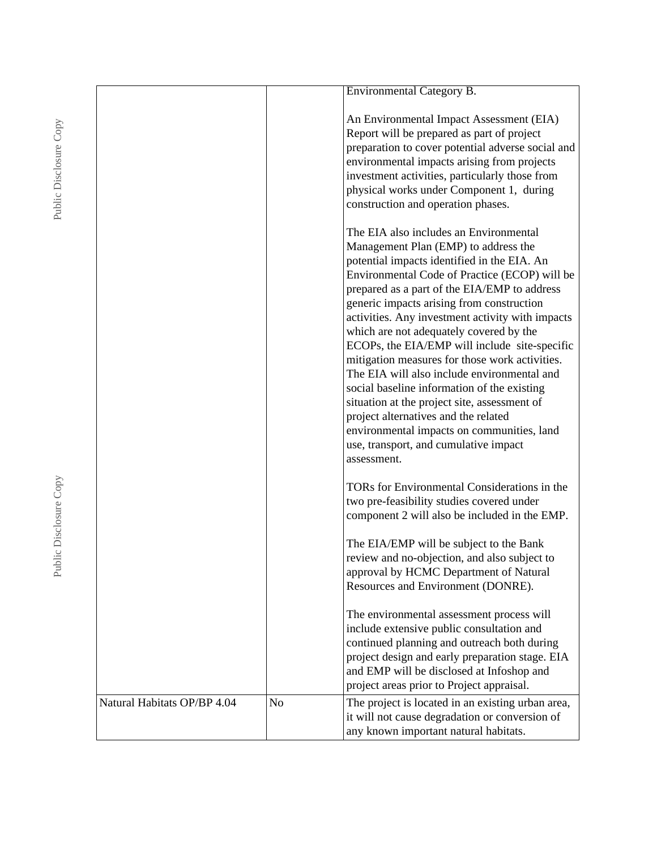|                             |          | <b>Environmental Category B.</b>                                                                                                                                                                                                                                                                                                                                                                                                                                                                                                                                                                                                                                                                                                                                          |
|-----------------------------|----------|---------------------------------------------------------------------------------------------------------------------------------------------------------------------------------------------------------------------------------------------------------------------------------------------------------------------------------------------------------------------------------------------------------------------------------------------------------------------------------------------------------------------------------------------------------------------------------------------------------------------------------------------------------------------------------------------------------------------------------------------------------------------------|
|                             |          | An Environmental Impact Assessment (EIA)<br>Report will be prepared as part of project<br>preparation to cover potential adverse social and<br>environmental impacts arising from projects<br>investment activities, particularly those from<br>physical works under Component 1, during<br>construction and operation phases.                                                                                                                                                                                                                                                                                                                                                                                                                                            |
|                             |          | The EIA also includes an Environmental<br>Management Plan (EMP) to address the<br>potential impacts identified in the EIA. An<br>Environmental Code of Practice (ECOP) will be<br>prepared as a part of the EIA/EMP to address<br>generic impacts arising from construction<br>activities. Any investment activity with impacts<br>which are not adequately covered by the<br>ECOPs, the EIA/EMP will include site-specific<br>mitigation measures for those work activities.<br>The EIA will also include environmental and<br>social baseline information of the existing<br>situation at the project site, assessment of<br>project alternatives and the related<br>environmental impacts on communities, land<br>use, transport, and cumulative impact<br>assessment. |
|                             |          | TORs for Environmental Considerations in the<br>two pre-feasibility studies covered under<br>component 2 will also be included in the EMP.                                                                                                                                                                                                                                                                                                                                                                                                                                                                                                                                                                                                                                |
|                             |          | The EIA/EMP will be subject to the Bank<br>review and no-objection, and also subject to<br>approval by HCMC Department of Natural<br>Resources and Environment (DONRE).                                                                                                                                                                                                                                                                                                                                                                                                                                                                                                                                                                                                   |
|                             |          | The environmental assessment process will<br>include extensive public consultation and<br>continued planning and outreach both during<br>project design and early preparation stage. EIA<br>and EMP will be disclosed at Infoshop and<br>project areas prior to Project appraisal.                                                                                                                                                                                                                                                                                                                                                                                                                                                                                        |
| Natural Habitats OP/BP 4.04 | $\rm No$ | The project is located in an existing urban area,<br>it will not cause degradation or conversion of<br>any known important natural habitats.                                                                                                                                                                                                                                                                                                                                                                                                                                                                                                                                                                                                                              |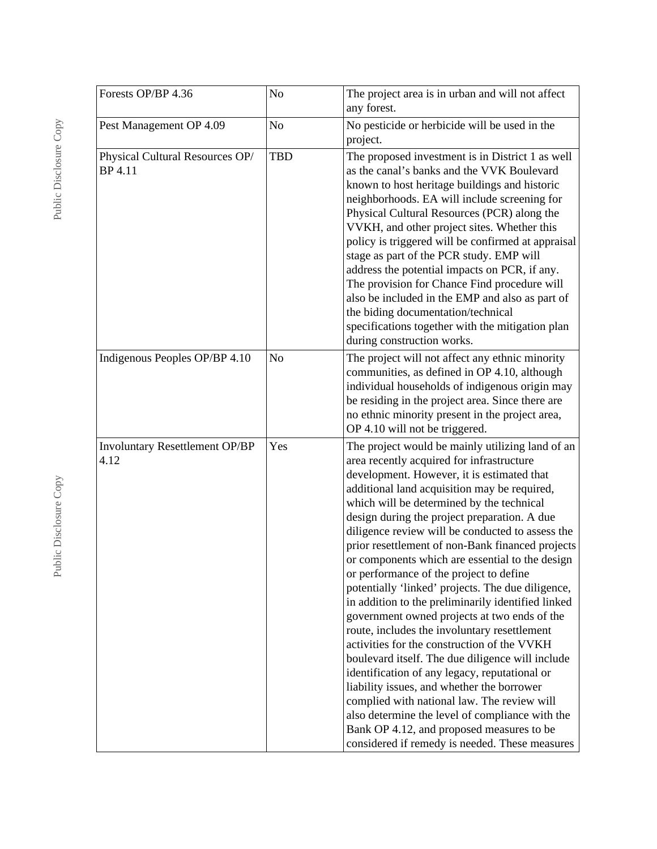| Forests OP/BP 4.36                            | No         | The project area is in urban and will not affect<br>any forest.                                                                                                                                                                                                                                                                                                                                                                                                                                                                                                                                                                                                                                                                                                                                                                                                                                                                                                                                                                                                                                              |
|-----------------------------------------------|------------|--------------------------------------------------------------------------------------------------------------------------------------------------------------------------------------------------------------------------------------------------------------------------------------------------------------------------------------------------------------------------------------------------------------------------------------------------------------------------------------------------------------------------------------------------------------------------------------------------------------------------------------------------------------------------------------------------------------------------------------------------------------------------------------------------------------------------------------------------------------------------------------------------------------------------------------------------------------------------------------------------------------------------------------------------------------------------------------------------------------|
| Pest Management OP 4.09                       | No         | No pesticide or herbicide will be used in the<br>project.                                                                                                                                                                                                                                                                                                                                                                                                                                                                                                                                                                                                                                                                                                                                                                                                                                                                                                                                                                                                                                                    |
| Physical Cultural Resources OP/<br>BP 4.11    | <b>TBD</b> | The proposed investment is in District 1 as well<br>as the canal's banks and the VVK Boulevard<br>known to host heritage buildings and historic<br>neighborhoods. EA will include screening for<br>Physical Cultural Resources (PCR) along the<br>VVKH, and other project sites. Whether this<br>policy is triggered will be confirmed at appraisal<br>stage as part of the PCR study. EMP will<br>address the potential impacts on PCR, if any.<br>The provision for Chance Find procedure will<br>also be included in the EMP and also as part of<br>the biding documentation/technical<br>specifications together with the mitigation plan<br>during construction works.                                                                                                                                                                                                                                                                                                                                                                                                                                  |
| Indigenous Peoples OP/BP 4.10                 | $\rm No$   | The project will not affect any ethnic minority<br>communities, as defined in OP 4.10, although<br>individual households of indigenous origin may<br>be residing in the project area. Since there are<br>no ethnic minority present in the project area,<br>OP 4.10 will not be triggered.                                                                                                                                                                                                                                                                                                                                                                                                                                                                                                                                                                                                                                                                                                                                                                                                                   |
| <b>Involuntary Resettlement OP/BP</b><br>4.12 | Yes        | The project would be mainly utilizing land of an<br>area recently acquired for infrastructure<br>development. However, it is estimated that<br>additional land acquisition may be required,<br>which will be determined by the technical<br>design during the project preparation. A due<br>diligence review will be conducted to assess the<br>prior resettlement of non-Bank financed projects<br>or components which are essential to the design<br>or performance of the project to define<br>potentially 'linked' projects. The due diligence,<br>in addition to the preliminarily identified linked<br>government owned projects at two ends of the<br>route, includes the involuntary resettlement<br>activities for the construction of the VVKH<br>boulevard itself. The due diligence will include<br>identification of any legacy, reputational or<br>liability issues, and whether the borrower<br>complied with national law. The review will<br>also determine the level of compliance with the<br>Bank OP 4.12, and proposed measures to be<br>considered if remedy is needed. These measures |